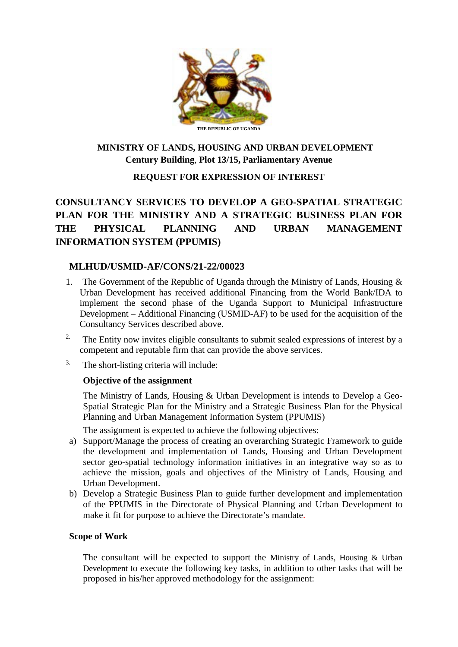

# **MINISTRY OF LANDS, HOUSING AND URBAN DEVELOPMENT Century Building**, **Plot 13/15, Parliamentary Avenue**

#### **REQUEST FOR EXPRESSION OF INTEREST**

# **CONSULTANCY SERVICES TO DEVELOP A GEO-SPATIAL STRATEGIC PLAN FOR THE MINISTRY AND A STRATEGIC BUSINESS PLAN FOR THE PHYSICAL PLANNING AND URBAN MANAGEMENT INFORMATION SYSTEM (PPUMIS)**

#### **MLHUD/USMID-AF/CONS/21-22/00023**

- 1. The Government of the Republic of Uganda through the Ministry of Lands, Housing & Urban Development has received additional Financing from the World Bank/IDA to implement the second phase of the Uganda Support to Municipal Infrastructure Development – Additional Financing (USMID-AF) to be used for the acquisition of the Consultancy Services described above.
- <sup>2.</sup> The Entity now invites eligible consultants to submit sealed expressions of interest by a competent and reputable firm that can provide the above services.
- <sup>3.</sup> The short-listing criteria will include:

#### **Objective of the assignment**

The Ministry of Lands, Housing & Urban Development is intends to Develop a Geo-Spatial Strategic Plan for the Ministry and a Strategic Business Plan for the Physical Planning and Urban Management Information System (PPUMIS)

The assignment is expected to achieve the following objectives:

- a) Support/Manage the process of creating an overarching Strategic Framework to guide the development and implementation of Lands, Housing and Urban Development sector geo-spatial technology information initiatives in an integrative way so as to achieve the mission, goals and objectives of the Ministry of Lands, Housing and Urban Development.
- b) Develop a Strategic Business Plan to guide further development and implementation of the PPUMIS in the Directorate of Physical Planning and Urban Development to make it fit for purpose to achieve the Directorate's mandate.

#### **Scope of Work**

The consultant will be expected to support the Ministry of Lands, Housing & Urban Development to execute the following key tasks, in addition to other tasks that will be proposed in his/her approved methodology for the assignment: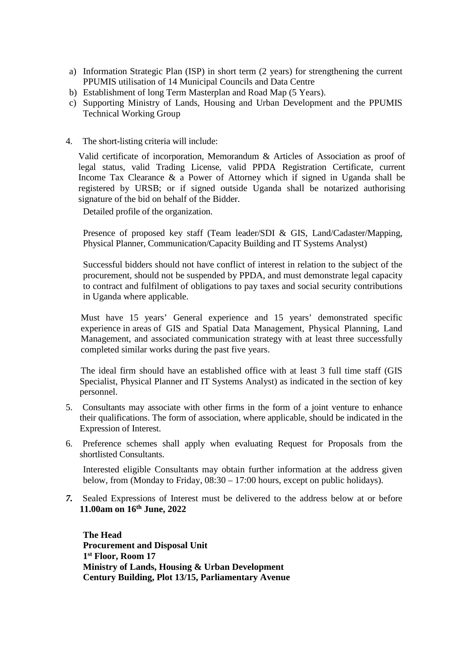- a) Information Strategic Plan (ISP) in short term (2 years) for strengthening the current PPUMIS utilisation of 14 Municipal Councils and Data Centre
- b) Establishment of long Term Masterplan and Road Map (5 Years).
- c) Supporting Ministry of Lands, Housing and Urban Development and the PPUMIS Technical Working Group
- 4. The short-listing criteria will include:

Valid certificate of incorporation, Memorandum & Articles of Association as proof of legal status, valid Trading License, valid PPDA Registration Certificate, current Income Tax Clearance & a Power of Attorney which if signed in Uganda shall be registered by URSB; or if signed outside Uganda shall be notarized authorising signature of the bid on behalf of the Bidder.

Detailed profile of the organization.

Presence of proposed key staff (Team leader/SDI & GIS, Land/Cadaster/Mapping, Physical Planner, Communication/Capacity Building and IT Systems Analyst)

Successful bidders should not have conflict of interest in relation to the subject of the procurement, should not be suspended by PPDA, and must demonstrate legal capacity to contract and fulfilment of obligations to pay taxes and social security contributions in Uganda where applicable.

Must have 15 years' General experience and 15 years' demonstrated specific experience in areas of GIS and Spatial Data Management, Physical Planning, Land Management, and associated communication strategy with at least three successfully completed similar works during the past five years.

The ideal firm should have an established office with at least 3 full time staff (GIS Specialist, Physical Planner and IT Systems Analyst) as indicated in the section of key personnel.

- 5. Consultants may associate with other firms in the form of a joint venture to enhance their qualifications. The form of association, where applicable, should be indicated in the Expression of Interest.
- 6. Preference schemes shall apply when evaluating Request for Proposals from the shortlisted Consultants.

Interested eligible Consultants may obtain further information at the address given below, from (Monday to Friday, 08:30 – 17:00 hours, except on public holidays).

*7.* Sealed Expressions of Interest must be delivered to the address below at or before **11.00am on 16th June, 2022**

**The Head Procurement and Disposal Unit 1st Floor, Room 17 Ministry of Lands, Housing & Urban Development Century Building, Plot 13/15, Parliamentary Avenue**